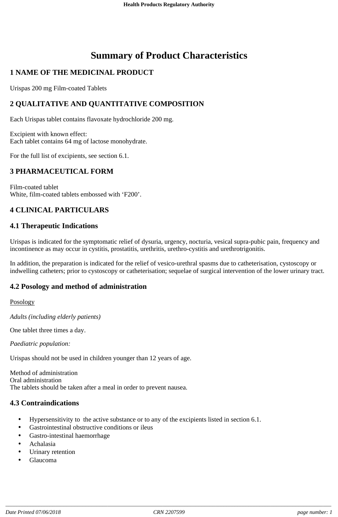# **Summary of Product Characteristics**

# **1 NAME OF THE MEDICINAL PRODUCT**

Urispas 200 mg Film-coated Tablets

### **2 QUALITATIVE AND QUANTITATIVE COMPOSITION**

Each Urispas tablet contains flavoxate hydrochloride 200 mg.

Excipient with known effect: Each tablet contains 64 mg of lactose monohydrate.

For the full list of excipients, see section 6.1.

### **3 PHARMACEUTICAL FORM**

Film-coated tablet White, film-coated tablets embossed with 'F200'.

### **4 CLINICAL PARTICULARS**

#### **4.1 Therapeutic Indications**

Urispas is indicated for the symptomatic relief of dysuria, urgency, nocturia, vesical supra-pubic pain, frequency and incontinence as may occur in cystitis, prostatitis, urethritis, urethro-cystitis and urethrotrigonitis.

In addition, the preparation is indicated for the relief of vesico-urethral spasms due to catheterisation, cystoscopy or indwelling catheters; prior to cystoscopy or catheterisation; sequelae of surgical intervention of the lower urinary tract.

#### **4.2 Posology and method of administration**

#### Posology

*Adults (including elderly patients)*

One tablet three times a day.

*Paediatric population:*

Urispas should not be used in children younger than 12 years of age.

Method of administration Oral administration The tablets should be taken after a meal in order to prevent nausea.

#### **4.3 Contraindications**

- Hypersensitivity to the active substance or to any of the excipients listed in section 6.1.
- Gastrointestinal obstructive conditions or ileus
- Gastro-intestinal haemorrhage
- Achalasia
- Urinary retention
- Glaucoma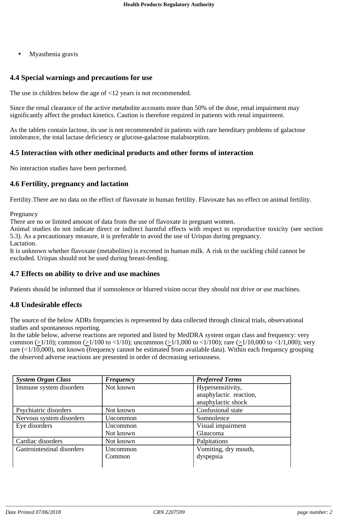• Myasthenia gravis

# **4.4 Special warnings and precautions for use**

The use in children below the age of <12 years is not recommended.

Since the renal clearance of the active metabolite accounts more than 50% of the dose, renal impairment may significantly affect the product kinetics. Caution is therefore required in patients with renal impairment.

As the tablets contain lactose, its use is not recommended in patients with rare hereditary problems of galactose intolerance, the total lactase deficiency or glucose-galactose malabsorption.

# **4.5 Interaction with other medicinal products and other forms of interaction**

No interaction studies have been performed.

# **4.6 Fertility, pregnancy and lactation**

Fertility.There are no data on the effect of flavoxate in human fertility. Flavoxate has no effect on animal fertility.

Pregnancy

There are no or limited amount of data from the use of flavoxate in pregnant women.

Animal studies do not indicate direct or indirect harmful effects with respect to reproductive toxicity (see section 5.3). As a precautionary measure, it is preferable to avoid the use of Urispas during pregnancy.

Lactation.

It is unknown whether flavoxate (metabolites) is excreted in human milk. A risk to the suckling child cannot be excluded. Urispas should not be used during breast-feeding.

### **4.7 Effects on ability to drive and use machines**

Patients should be informed that if somnolence or blurred vision occur they should not drive or use machines.

# **4.8 Undesirable effects**

The source of the below ADRs frequencies is represented by data collected through clinical trials, observational studies and spontaneous reporting.

In the table below, adverse reactions are reported and listed by MedDRA system organ class and frequency: very common ( $\geq$ 1/10); common ( $\geq$ 1/100 to <1/10); uncommon ( $\geq$ 1/1,000 to <1/100); rare ( $\geq$ 1/10,000 to <1/1,000); very rare (<1/10,000), not known (frequency cannot be estimated from available data). Within each frequency grouping the observed adverse reactions are presented in order of decreasing seriousness.

| <b>System Organ Class</b>  | <b>Frequency</b> | <b>Preferred Terms</b> |
|----------------------------|------------------|------------------------|
| Immune system disorders    | Not known        | Hypersensitivity,      |
|                            |                  | anaphylactic reaction, |
|                            |                  | anaphylactic shock     |
| Psychiatric disorders      | Not known        | Confusional state      |
| Nervous system disorders   | Uncommon         | Somnolence             |
| Eye disorders              | Uncommon         | Visual impairment      |
|                            | Not known        | Glaucoma               |
| Cardiac disorders          | Not known        | Palpitations           |
| Gastrointestinal disorders | Uncommon         | Vomiting, dry mouth,   |
|                            | Common           | dyspepsia              |
|                            |                  |                        |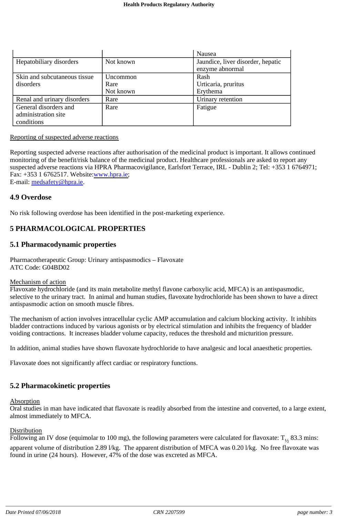|                              |                 | Nausea                            |
|------------------------------|-----------------|-----------------------------------|
| Hepatobiliary disorders      | Not known       | Jaundice, liver disorder, hepatic |
|                              |                 | enzyme abnormal                   |
| Skin and subcutaneous tissue | <b>Uncommon</b> | Rash                              |
| disorders                    | Rare            | Urticaria, pruritus               |
|                              | Not known       | Erythema                          |
| Renal and urinary disorders  | Rare            | Urinary retention                 |
| General disorders and        | Rare            | Fatigue                           |
| administration site          |                 |                                   |
| conditions                   |                 |                                   |

#### Reporting of suspected adverse reactions

Reporting suspected adverse reactions after authorisation of the medicinal product is important. It allows continued monitoring of the benefit/risk balance of the medicinal product. Healthcare professionals are asked to report any suspected adverse reactions via HPRA Pharmacovigilance, Earlsfort Terrace, IRL - Dublin 2; Tel: +353 1 6764971; Fax: +353 1 6762517. Website: www.hpra.ie; E-mail: medsafety@hpra.ie.

**4.9 Overdose**

No risk following overdose has been identified in the post-marketing experience.

### **5 PHARMACOLOGICAL PROPERTIES**

#### **5.1 Pharmacodynamic properties**

Pharmacotherapeutic Group: Urinary antispasmodics – Flavoxate ATC Code: G04BD02

#### Mechanism of action

Flavoxate hydrochloride (and its main metabolite methyl flavone carboxylic acid, MFCA) is an antispasmodic, selective to the urinary tract. In animal and human studies, flavoxate hydrochloride has been shown to have a direct antispasmodic action on smooth muscle fibres.

The mechanism of action involves intracellular cyclic AMP accumulation and calcium blocking activity. It inhibits bladder contractions induced by various agonists or by electrical stimulation and inhibits the frequency of bladder voiding contractions. It increases bladder volume capacity, reduces the threshold and micturition pressure.

In addition, animal studies have shown flavoxate hydrochloride to have analgesic and local anaesthetic properties.

Flavoxate does not significantly affect cardiac or respiratory functions.

#### **5.2 Pharmacokinetic properties**

#### Absorption

Oral studies in man have indicated that flavoxate is readily absorbed from the intestine and converted, to a large extent, almost immediately to MFCA.

#### **Distribution**

Following an IV dose (equimolar to 100 mg), the following parameters were calculated for flavoxate:  $T_{1/2}$  83.3 mins: apparent volume of distribution 2.89 l/kg. The apparent distribution of MFCA was 0.20 l/kg. No free flavoxate was found in urine (24 hours). However, 47% of the dose was excreted as MFCA.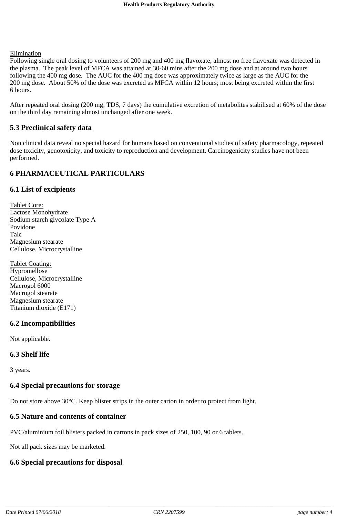#### Elimination

Following single oral dosing to volunteers of 200 mg and 400 mg flavoxate, almost no free flavoxate was detected in the plasma. The peak level of MFCA was attained at 30-60 mins after the 200 mg dose and at around two hours following the 400 mg dose. The AUC for the 400 mg dose was approximately twice as large as the AUC for the 200 mg dose. About 50% of the dose was excreted as MFCA within 12 hours; most being excreted within the first 6 hours.

After repeated oral dosing (200 mg, TDS, 7 days) the cumulative excretion of metabolites stabilised at 60% of the dose on the third day remaining almost unchanged after one week.

#### **5.3 Preclinical safety data**

Non clinical data reveal no special hazard for humans based on conventional studies of safety pharmacology, repeated dose toxicity, genotoxicity, and toxicity to reproduction and development. Carcinogenicity studies have not been performed.

### **6 PHARMACEUTICAL PARTICULARS**

#### **6.1 List of excipients**

Tablet Core: Lactose Monohydrate Sodium starch glycolate Type A Povidone Talc Magnesium stearate Cellulose, Microcrystalline

Tablet Coating: Hypromellose Cellulose, Microcrystalline Macrogol 6000 Macrogol stearate Magnesium stearate Titanium dioxide (E171)

#### **6.2 Incompatibilities**

Not applicable.

#### **6.3 Shelf life**

3 years.

#### **6.4 Special precautions for storage**

Do not store above 30°C. Keep blister strips in the outer carton in order to protect from light.

#### **6.5 Nature and contents of container**

PVC/aluminium foil blisters packed in cartons in pack sizes of 250, 100, 90 or 6 tablets.

Not all pack sizes may be marketed.

# **6.6 Special precautions for disposal**